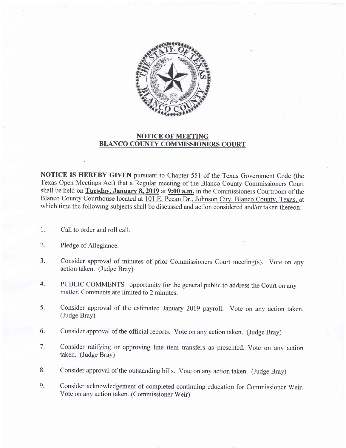

## NOTICE OF MEETING BLANCO COUNTY COMMISSIONERS COURT

NOTICE IS HEREBY GIVEN pursuant to Chapter 551 of the Texas Government Code (the Texas Open Meetings Act) that a Regular meeting of the Blanco County Commissioners Court shall be held on Tuesday, January 8, 2019 at 9:00 a.m. in the Commissioners Courtroom of the Blanco County Courthouse located at 101 E. Pecan Dr., Johnson City, Blanco County, Texas, at which time the following subjects shall be discussed and action considered and/or taken thereon:

- Call to order and roll call. l.
- Pledge of Allegiance. 2.
- Consider approval of minutes of prior Commissioners Court meeting(s). Vote on any action taken. (Judge Bray) J.
- PUBLIC COMMENTS- opportunity for the general public to address the Court on any matter. Comments are limited to 2 minutes. 4.
- Consider approval of the estimated January 2019 payroll. Vote on any action taken. (Judge Bray) 5.
- Consider approval of the official reports. vote on any action taken. (Judge Bray) 6.
- $7.$ Consider ratifying or approving line item transfers as presented. Vote on any action taken. (Judge Bray)
- Consider approval of the outstanding bills. Vote on any action taken. (Judge Bray) 8.
- Consider acknowledgement of completed continuing education for Commissioner Weir. Vote on any action taken. (Commissioner Weir) 9.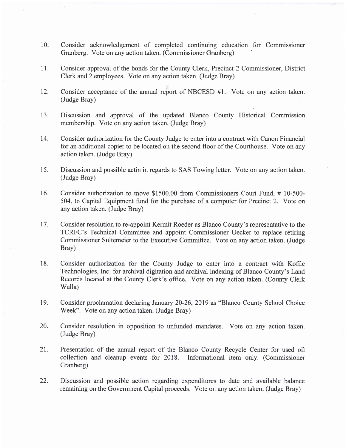- 10. Consider acknowledgement of completed continuing education for Commissioner Granberg. Vote on any action taken. (Commissioner Granberg)
- <sup>1</sup>1. Consider approval of the bonds for the County Clerk, Precinct 2 Commissioner, District Clerk and 2 employees. Vote on any action taken. (Judge Bray)
- 12. Consider acceptance of the annual report of NBCESD #1. Vote on any action taken. (Judge Bray)
- 13. Discussion and approval of the updated Blanco County Historical Commission membership. Vote on any action taken. (Judge Bray)
- 14. Consider authorization for the County Judge to enter into a contract with Canon Financial for an additional copier to be located on the second floor of the Courthouse. Vote on any action taken. (Judge Bray)
- 15. Discussion and possible actin in regards to SAS Towing letter. Vote on any action taken. (Judge Bray)
- 16. Consider authorization to move \$1500.00 from Commissioners Court Fund. # 10-500- 504, to Capital Equipment fund for the purchase of a computer for Precinct 2. Vote on any action taken. (Judge Bray)
- 17. Consider resolution to re-appoint Kermit Roeder as Blanco County's representative to the TCRFC's Technical Committee and appoint Commissioner Uecker to replace retiring Commissioner Sultemeier to the Executive Committee. Vote on any action taken. (Judge Bray)
- 18. Consider authorization for the County Judge to enter into a contract with Kofile Technologies, Inc. for archival digitation and archival indexing of Blanco County's Land Records located at the County Clerk's office. Vote on any action taken. (County Clerk Walla)
- 19. Consider proclamation declaring January 20-26,2019 as "Blanco County School Choice Week". Vote on any action taken. (Judge Bray)
- 20. Consider resolution in opposition to unfunded mandates. Vote on any action taken. (Judge Bray)
- 21. Presentation of the annual report of the Blanco County Recycle Center for used oil collection and cleanup events for 2018. Informational item only. (Commissioner Granberg)
- 22. Discussion and possible action regarding expenditures to date and available balance remaining on the Govemment Capital proceeds. Vote on any action taken. (Judge Bray)